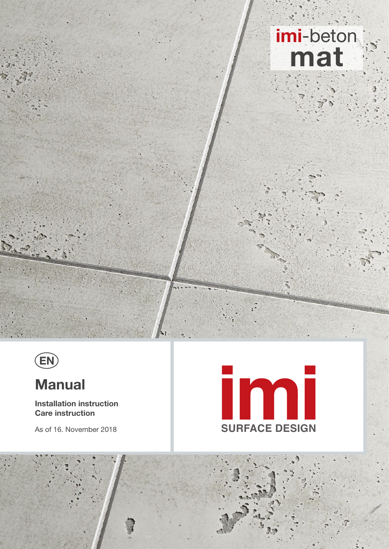# imi-beton



# **Manual**

**Installation instruction Care instruction** 

As of 16. November 2018



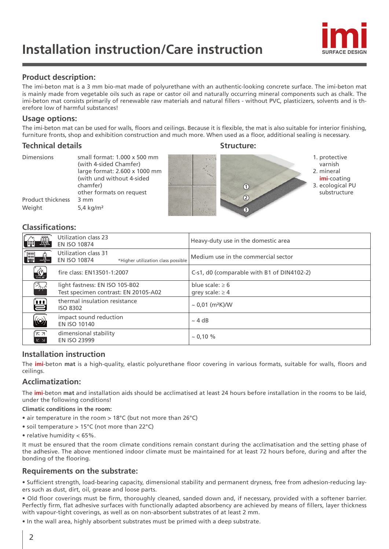

## **Product description:**

The imi-beton mat is a 3 mm bio-mat made of polyurethane with an authentic-looking concrete surface. The imi-beton mat is mainly made from vegetable oils such as rape or castor oil and naturally occurring mineral components such as chalk. The imi-beton mat consists primarily of renewable raw materials and natural fillers - without PVC, plasticizers, solvents and is therefore low of harmful substances!

## **Usage options:**

The imi-beton mat can be used for walls, floors and ceilings. Because it is flexible, the mat is also suitable for interior finishing, furniture fronts, shop and exhibition construction and much more. When used as a floor, additional sealing is necessary.

## **Technical details Structure:** Structure:

| <b>Dimensions</b><br>Product thickness | small format: 1,000 x 500 mm<br>(with 4-sided Chamfer)<br>large format: 2.600 x 1000 mm<br>(with und without 4-sided<br>chamfer)<br>other formats on request<br>3 mm | (1)<br>$\circled{2}$ | 1. protective<br>varnish<br>2. mineral<br><b>imi</b> -coating<br>3. ecological PU<br>substructure |
|----------------------------------------|----------------------------------------------------------------------------------------------------------------------------------------------------------------------|----------------------|---------------------------------------------------------------------------------------------------|
| Weight                                 | 5,4 kg/m <sup>2</sup>                                                                                                                                                | $\circled{3}$        |                                                                                                   |

## **Classifications:**

|                                 | Utilization class 23<br><b>EN ISO 10874</b>                                       | Heavy-duty use in the domestic area          |
|---------------------------------|-----------------------------------------------------------------------------------|----------------------------------------------|
| 刪                               | Utilization class 31<br><b>EN ISO 10874</b><br>*Higher utilization class possible | Medium use in the commercial sector          |
| $\frac{S_1}{\frac{1}{C-51,00}}$ | fire class: EN13501-1:2007                                                        | C-s1, d0 (comparable with B1 of DIN4102-2)   |
| ¾                               | light fastness: EN ISO 105-B02<br>Test specimen contrast: EN 20105-A02            | blue scale: $\geq 6$<br>grey scale: $\geq 4$ |
| 兽                               | thermal insulation resistance<br><b>ISO 8302</b>                                  | $\sim 0.01$ (m <sup>2</sup> K)/W             |
| $\circled($                     | impact sound reduction<br><b>EN ISO 10140</b>                                     | $\sim$ 4 dB                                  |
| °⊼ א'<br>$K \geq$               | dimensional stability<br><b>EN ISO 23999</b>                                      | $\sim 0.10 \%$                               |
|                                 |                                                                                   |                                              |

## **Installation instruction**

The **imi**-beton **mat** is a high-quality, elastic polyurethane floor covering in various formats, suitable for walls, floors and ceilings.

## **Acclimatization:**

The **imi**-beton **mat** and installation aids should be acclimatised at least 24 hours before installation in the rooms to be laid, under the following conditions!

### **Climatic conditions in the room:**

- air temperature in the room > 18°C (but not more than 26°C)
- soil temperature > 15°C (not more than 22°C)
- relative humidity < 65%.

It must be ensured that the room climate conditions remain constant during the acclimatisation and the setting phase of the adhesive. The above mentioned indoor climate must be maintained for at least 72 hours before, during and after the bonding of the flooring.

## **Requirements on the substrate:**

• Sufficient strength, load-bearing capacity, dimensional stability and permanent dryness, free from adhesion-reducing layers such as dust, dirt, oil, grease and loose parts.

• Old floor coverings must be firm, thoroughly cleaned, sanded down and, if necessary, provided with a softener barrier. Perfectly firm, flat adhesive surfaces with functionally adapted absorbency are achieved by means of fillers, layer thickness with vapour-tight coverings, as well as on non-absorbent substrates of at least 2 mm.

• In the wall area, highly absorbent substrates must be primed with a deep substrate.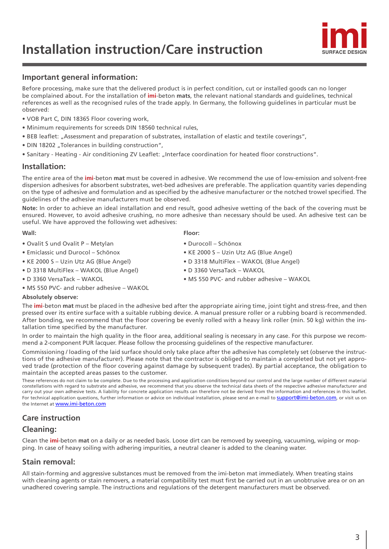# **Installation instruction/Care instruction**



## **Important general information:**

Before processing, make sure that the delivered product is in perfect condition, cut or installed goods can no longer be complained about. For the installation of **imi**-beton **mats**, the relevant national standards and guidelines, technical references as well as the recognised rules of the trade apply. In Germany, the following guidelines in particular must be observed:

- VOB Part C, DIN 18365 Floor covering work,
- Minimum requirements for screeds DIN 18560 technical rules,
- BEB leaflet: "Assessment and preparation of substrates, installation of elastic and textile coverings",
- DIN 18202 "Tolerances in building construction",
- Sanitary Heating Air conditioning ZV Leaflet: "Interface coordination for heated floor constructions".

## **Installation:**

The entire area of the **imi**-beton **mat** must be covered in adhesive. We recommend the use of low-emission and solvent-free dispersion adhesives for absorbent substrates, wet-bed adhesives are preferable. The application quantity varies depending on the type of adhesive and formulation and as specified by the adhesive manufacturer or the notched trowel specified. The guidelines of the adhesive manufacturers must be observed.

**Note:** In order to achieve an ideal installation and end result, good adhesive wetting of the back of the covering must be ensured. However, to avoid adhesive crushing, no more adhesive than necessary should be used. An adhesive test can be useful. We have approved the following wet adhesives:

#### **Wall: Floor:**

- 
- 
- 
- 
- MS 550 PVC- and rubber adhesive WAKOL
- 
- Ovalit S und Ovalit P Metylan Durocoll Schönox
- Emiclassic und Durocol Schönox KE 2000 S Uzin Utz AG (Blue Angel)
- KE 2000 S Uzin Utz AG (Blue Angel) D 3318 MultiFlex WAKOL (Blue Angel)
- D 3318 MultiFlex WAKOL (Blue Angel) D 3360 VersaTack WAKOL
- D 3360 VersaTack WAKOL MS 550 PVC- and rubber adhesive WAKOL

#### **Absolutely observe:**

The **imi**-beton **mat** must be placed in the adhesive bed after the appropriate airing time, joint tight and stress-free, and then pressed over its entire surface with a suitable rubbing device. A manual pressure roller or a rubbing board is recommended. After bonding, we recommend that the floor covering be evenly rolled with a heavy link roller (min. 50 kg) within the installation time specified by the manufacturer.

In order to maintain the high quality in the floor area, additional sealing is necessary in any case. For this purpose we recommend a 2-component PUR lacquer. Please follow the processing guidelines of the respective manufacturer.

Commissioning / loading of the laid surface should only take place after the adhesive has completely set (observe the instructions of the adhesive manufacturer). Please note that the contractor is obliged to maintain a completed but not yet approved trade (protection of the floor covering against damage by subsequent trades). By partial acceptance, the obligation to maintain the accepted areas passes to the customer.

These references do not claim to be complete. Due to the processing and application conditions beyond our control and the large number of different material constellations with regard to substrate and adhesive, we recommend that you observe the technical data sheets of the respective adhesive manufacturer and carry out your own adhesive tests. A liability for concrete application results can therefore not be derived from the information and references in this leaflet. For technical application questions, further information or advice on individual installation, please send an e-mail to suppor[t@imi-beton.com](mailto:?subject=), or visit us on the Internet at [www.imi-beton.com](http://www.imi-beton.com)

## **Care instruction**

## **Cleaning:**

Clean the **imi**-beton **mat** on a daily or as needed basis. Loose dirt can be removed by sweeping, vacuuming, wiping or mopping. In case of heavy soiling with adhering impurities, a neutral cleaner is added to the cleaning water.

## **Stain removal:**

All stain-forming and aggressive substances must be removed from the imi-beton mat immediately. When treating stains with cleaning agents or stain removers, a material compatibility test must first be carried out in an unobtrusive area or on an unadhered covering sample. The instructions and regulations of the detergent manufacturers must be observed.